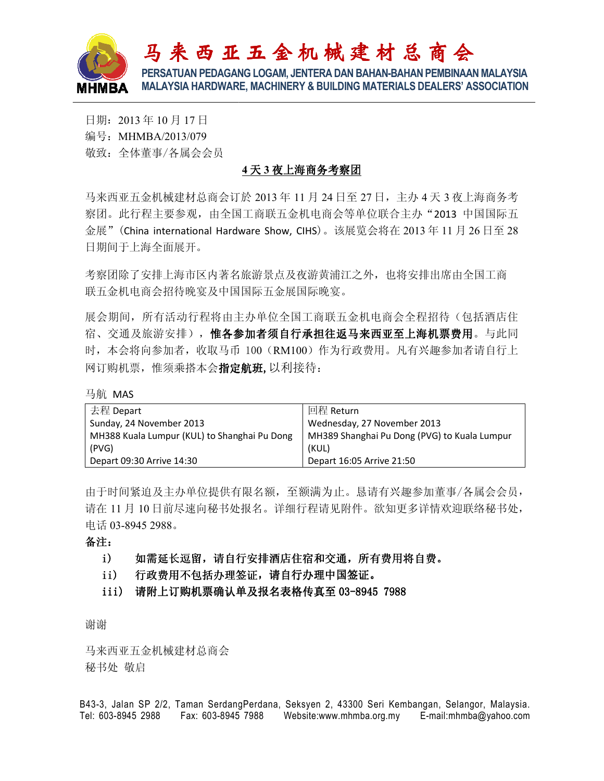

## **4** 天 **3** 夜上海商务考察团

| <b>HMBA</b>                                                                                                                                                                             | 马来西亚五金机械建材总商会<br>PERSATUAN PEDAGANG LOGAM, JENTERA DAN BAHAN-BAHAN PEMBINAAN MALAYSIA<br><b>MALAYSIA HARDWARE, MACHINERY &amp; BUILDING MATERIALS DEALERS' ASSOCIATION</b> |
|-----------------------------------------------------------------------------------------------------------------------------------------------------------------------------------------|----------------------------------------------------------------------------------------------------------------------------------------------------------------------------|
| 日期: 2013年10月17日<br>编号: MHMBA/2013/079<br>敬致: 全体董事/各属会会员                                                                                                                                 |                                                                                                                                                                            |
| 4天3夜上海商务考察团                                                                                                                                                                             |                                                                                                                                                                            |
| 马来西亚五金机械建材总商会订於 2013年 11月 24日至 27日, 主办 4天 3 夜上海商务考<br>察团。此行程主要参观,由全国工商联五金机电商会等单位联合主办"2013 中国国际五<br>金展" (China international Hardware Show, CIHS)。该展览会将在 2013年11月 26日至 28<br>日期间于上海全面展开。 |                                                                                                                                                                            |
| 考察团除了安排上海市区内著名旅游景点及夜游黄浦江之外,也将安排出席由全国工商<br>联五金机电商会招待晚宴及中国国际五金展国际晚宴。                                                                                                                      |                                                                                                                                                                            |
| 展会期间, 所有活动行程将由主办单位全国工商联五金机电商会全程招待(包括酒店住<br>宿、交通及旅游安排),惟各参加者须自行承担往返马来西亚至上海机票费用。与此同<br>时,本会将向参加者,收取马币 100 (RM100) 作为行政费用。凡有兴趣参加者请自行上<br>网订购机票,惟须乘搭本会 <b>指定航班,</b> 以利接待:                   |                                                                                                                                                                            |
| 马航 MAS                                                                                                                                                                                  |                                                                                                                                                                            |
| 去程 Depart<br>Sunday, 24 November 2013<br>MH388 Kuala Lumpur (KUL) to Shanghai Pu Dong<br>(PVG)<br>Depart 09:30 Arrive 14:30                                                             | 回程 Return<br>Wednesday, 27 November 2013<br>MH389 Shanghai Pu Dong (PVG) to Kuala Lumpur<br>(KUL)<br>Depart 16:05 Arrive 21:50                                             |
| 电话 03-8945 2988。<br>备注:                                                                                                                                                                 | 由于时间紧迫及主办单位提供有限名额,至额满为止。恳请有兴趣参加董事/各属会会员,<br>请在11月10日前尽速向秘书处报名。详细行程请见附件。欲知更多详情欢迎联络秘书处,                                                                                      |
| $\mathbf{i}$<br>如需延长逗留,请自行安排酒店住宿和交通,所有费用将自费。<br>行政费用不包括办理签证,请自行办理中国签证。<br>$\mathbf{ii}$<br>请附上订购机票确认单及报名表格传真至 03-8945 7988<br>iii)                                                      |                                                                                                                                                                            |
| 谢谢                                                                                                                                                                                      |                                                                                                                                                                            |
| 马来西亚五金机械建材总商会<br>秘书处 敬启                                                                                                                                                                 |                                                                                                                                                                            |
| el: 603-8945 2988<br>Fax: 603-8945 7988                                                                                                                                                 | 343-3, Jalan SP 2/2, Taman SerdangPerdana, Seksyen 2, 43300 Seri Kembangan, Selangor, Malaysia.<br>Website:www.mhmba.org.my E-mail:mhmba@yahoo.com                         |

## i) 如需延长逗留,请自行安排酒店住宿和交通,所有费用将自费。

- ii) 行政费用不包括办理签证,请自行办理中国签证。
- iii) 请附上订购机票确认单及报名表格传真至 03-8945 7988